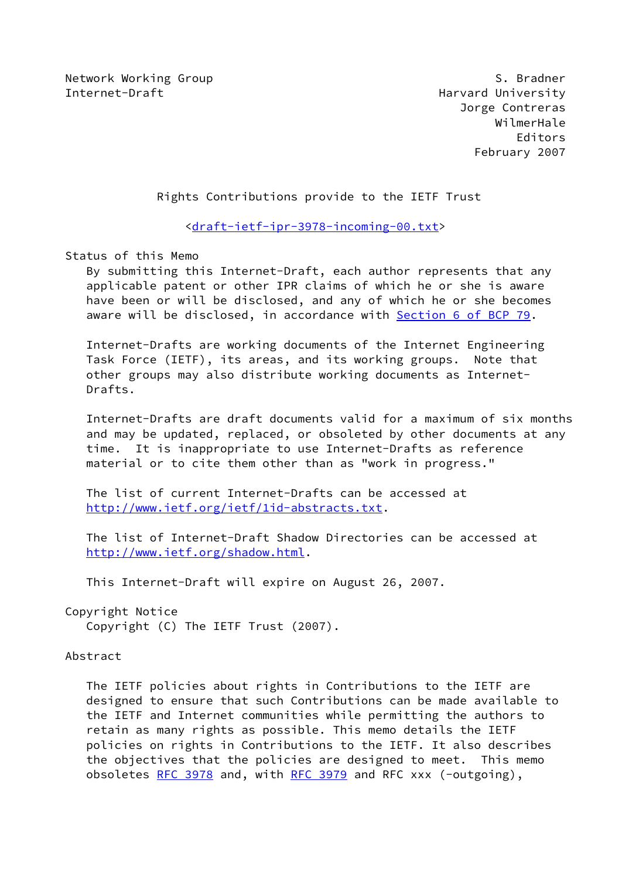Network Working Group S. Bradner Internet-Draft **Harvard University** 

 Jorge Contreras WilmerHale Editors February 2007

Rights Contributions provide to the IETF Trust

<[draft-ietf-ipr-3978-incoming-00.txt](https://datatracker.ietf.org/doc/pdf/draft-ietf-ipr-3978-incoming-00.txt)>

Status of this Memo

 By submitting this Internet-Draft, each author represents that any applicable patent or other IPR claims of which he or she is aware have been or will be disclosed, and any of which he or she becomes aware will be disclosed, in accordance with Section [6 of BCP 79.](https://datatracker.ietf.org/doc/pdf/bcp79#section-6)

 Internet-Drafts are working documents of the Internet Engineering Task Force (IETF), its areas, and its working groups. Note that other groups may also distribute working documents as Internet- Drafts.

 Internet-Drafts are draft documents valid for a maximum of six months and may be updated, replaced, or obsoleted by other documents at any time. It is inappropriate to use Internet-Drafts as reference material or to cite them other than as "work in progress."

 The list of current Internet-Drafts can be accessed at <http://www.ietf.org/ietf/1id-abstracts.txt>.

 The list of Internet-Draft Shadow Directories can be accessed at <http://www.ietf.org/shadow.html>.

This Internet-Draft will expire on August 26, 2007.

Copyright Notice

Copyright (C) The IETF Trust (2007).

#### Abstract

 The IETF policies about rights in Contributions to the IETF are designed to ensure that such Contributions can be made available to the IETF and Internet communities while permitting the authors to retain as many rights as possible. This memo details the IETF policies on rights in Contributions to the IETF. It also describes the objectives that the policies are designed to meet. This memo obsoletes [RFC 3978](https://datatracker.ietf.org/doc/pdf/rfc3978) and, with [RFC 3979](https://datatracker.ietf.org/doc/pdf/rfc3979) and RFC xxx (-outgoing),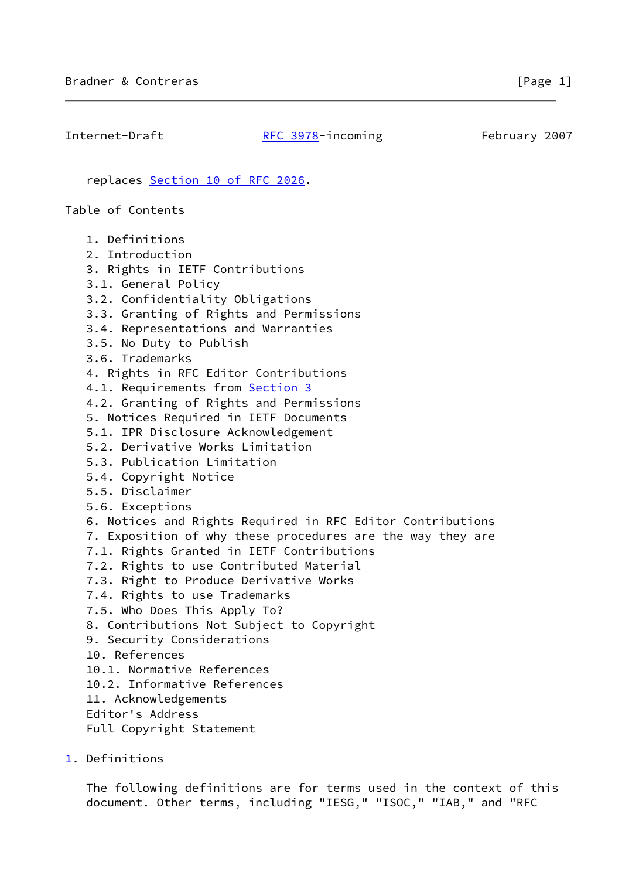Internet-Draft [RFC 3978](https://datatracker.ietf.org/doc/pdf/rfc3978)-incoming February 2007

replaces Section [10 of RFC 2026](https://datatracker.ietf.org/doc/pdf/rfc2026#section-10).

Table of Contents

 1. Definitions 2. Introduction 3. Rights in IETF Contributions 3.1. General Policy 3.2. Confidentiality Obligations 3.3. Granting of Rights and Permissions 3.4. Representations and Warranties 3.5. No Duty to Publish 3.6. Trademarks 4. Rights in RFC Editor Contributions 4.1. Requirements from [Section 3](#page-5-0) 4.2. Granting of Rights and Permissions 5. Notices Required in IETF Documents 5.1. IPR Disclosure Acknowledgement 5.2. Derivative Works Limitation 5.3. Publication Limitation 5.4. Copyright Notice 5.5. Disclaimer 5.6. Exceptions 6. Notices and Rights Required in RFC Editor Contributions 7. Exposition of why these procedures are the way they are 7.1. Rights Granted in IETF Contributions 7.2. Rights to use Contributed Material 7.3. Right to Produce Derivative Works 7.4. Rights to use Trademarks 7.5. Who Does This Apply To? 8. Contributions Not Subject to Copyright 9. Security Considerations 10. References 10.1. Normative References 10.2. Informative References 11. Acknowledgements Editor's Address Full Copyright Statement

<span id="page-1-0"></span>[1](#page-1-0). Definitions

 The following definitions are for terms used in the context of this document. Other terms, including "IESG," "ISOC," "IAB," and "RFC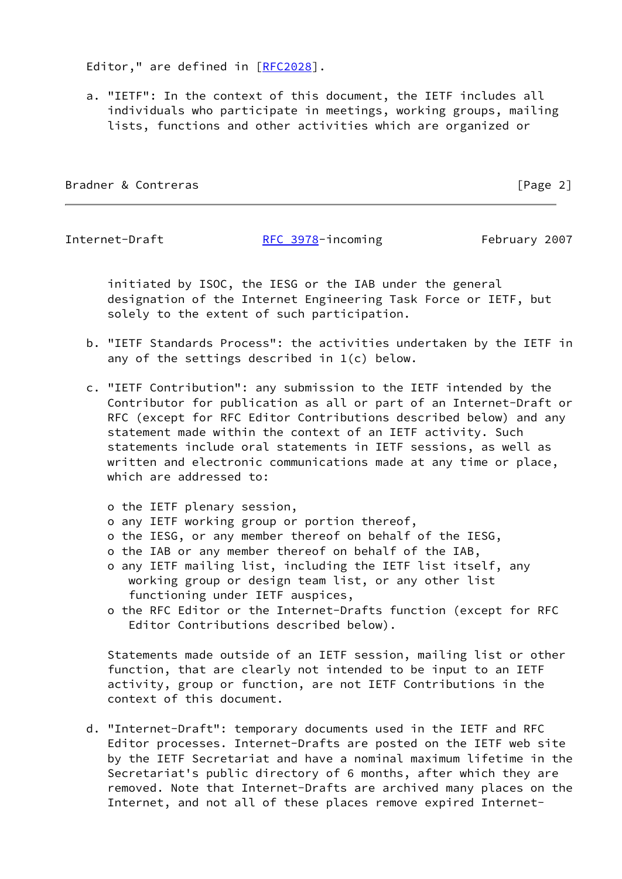Editor," are defined in [\[RFC2028](https://datatracker.ietf.org/doc/pdf/rfc2028)].

 a. "IETF": In the context of this document, the IETF includes all individuals who participate in meetings, working groups, mailing lists, functions and other activities which are organized or

Bradner & Contreras **Executive Contrelation** Security 2 and 2 and 2 and 2 and 2 and 2 and 2 and 2 and 2 and 2 and 2 and 2 and 2 and 2 and 2 and 2 and 2 and 2 and 2 and 2 and 2 and 2 and 2 and 2 and 2 and 2 and 2 and 2 and

Internet-Draft **[RFC 3978](https://datatracker.ietf.org/doc/pdf/rfc3978)-incoming** February 2007

 initiated by ISOC, the IESG or the IAB under the general designation of the Internet Engineering Task Force or IETF, but solely to the extent of such participation.

- b. "IETF Standards Process": the activities undertaken by the IETF in any of the settings described in 1(c) below.
- c. "IETF Contribution": any submission to the IETF intended by the Contributor for publication as all or part of an Internet-Draft or RFC (except for RFC Editor Contributions described below) and any statement made within the context of an IETF activity. Such statements include oral statements in IETF sessions, as well as written and electronic communications made at any time or place, which are addressed to:
	- o the IETF plenary session,
	- o any IETF working group or portion thereof,
	- o the IESG, or any member thereof on behalf of the IESG,
	- o the IAB or any member thereof on behalf of the IAB,
	- o any IETF mailing list, including the IETF list itself, any working group or design team list, or any other list functioning under IETF auspices,
	- o the RFC Editor or the Internet-Drafts function (except for RFC Editor Contributions described below).

 Statements made outside of an IETF session, mailing list or other function, that are clearly not intended to be input to an IETF activity, group or function, are not IETF Contributions in the context of this document.

 d. "Internet-Draft": temporary documents used in the IETF and RFC Editor processes. Internet-Drafts are posted on the IETF web site by the IETF Secretariat and have a nominal maximum lifetime in the Secretariat's public directory of 6 months, after which they are removed. Note that Internet-Drafts are archived many places on the Internet, and not all of these places remove expired Internet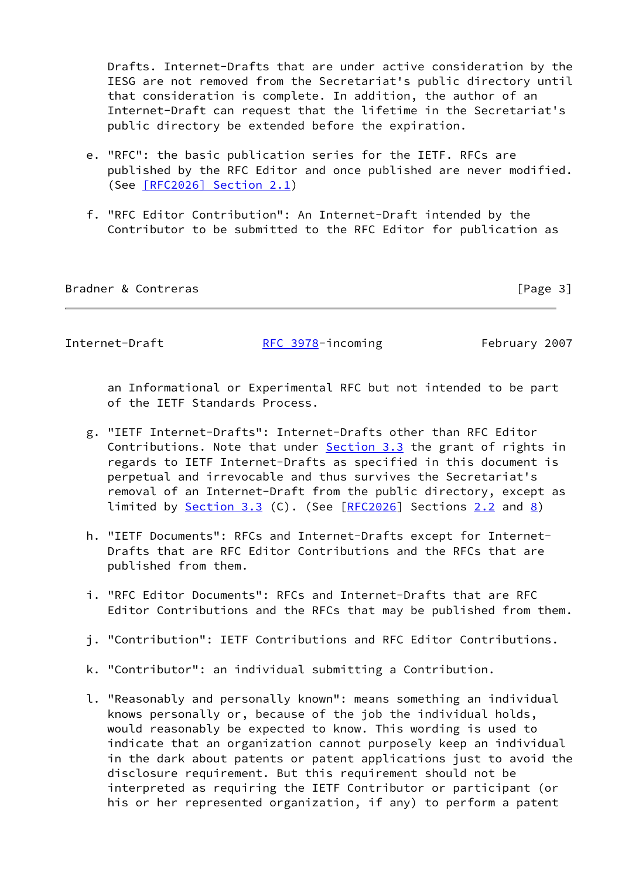Drafts. Internet-Drafts that are under active consideration by the IESG are not removed from the Secretariat's public directory until that consideration is complete. In addition, the author of an Internet-Draft can request that the lifetime in the Secretariat's public directory be extended before the expiration.

- e. "RFC": the basic publication series for the IETF. RFCs are published by the RFC Editor and once published are never modified. (See [\[RFC2026\] Section](https://datatracker.ietf.org/doc/pdf/rfc2026#section-2.1) 2.1)
- f. "RFC Editor Contribution": An Internet-Draft intended by the Contributor to be submitted to the RFC Editor for publication as

Bradner & Contreras **Exercía Exercía Exercía Exercía Exercía E** Page 3]

Internet-Draft [RFC 3978](https://datatracker.ietf.org/doc/pdf/rfc3978)-incoming February 2007

 an Informational or Experimental RFC but not intended to be part of the IETF Standards Process.

- g. "IETF Internet-Drafts": Internet-Drafts other than RFC Editor Contributions. Note that under [Section 3.3](#page-6-0) the grant of rights in regards to IETF Internet-Drafts as specified in this document is perpetual and irrevocable and thus survives the Secretariat's removal of an Internet-Draft from the public directory, except as limited by **Section 3.3** (C). (See  $[REC2026]$  Sections [2.2](#page-5-1) and [8\)](#page-17-0)
- h. "IETF Documents": RFCs and Internet-Drafts except for Internet- Drafts that are RFC Editor Contributions and the RFCs that are published from them.
- i. "RFC Editor Documents": RFCs and Internet-Drafts that are RFC Editor Contributions and the RFCs that may be published from them.
- j. "Contribution": IETF Contributions and RFC Editor Contributions.
- k. "Contributor": an individual submitting a Contribution.
- l. "Reasonably and personally known": means something an individual knows personally or, because of the job the individual holds, would reasonably be expected to know. This wording is used to indicate that an organization cannot purposely keep an individual in the dark about patents or patent applications just to avoid the disclosure requirement. But this requirement should not be interpreted as requiring the IETF Contributor or participant (or his or her represented organization, if any) to perform a patent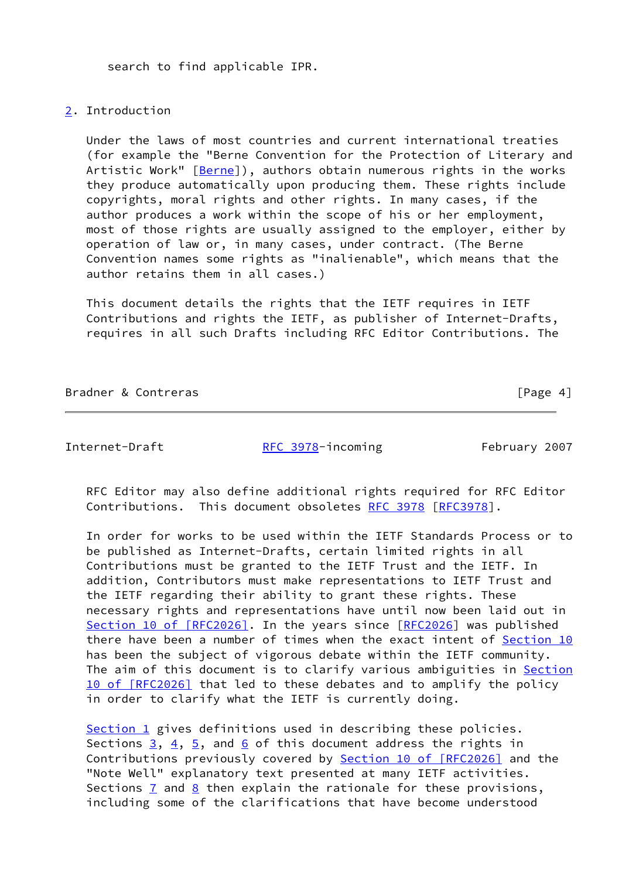search to find applicable IPR.

# <span id="page-4-0"></span>[2](#page-4-0). Introduction

 Under the laws of most countries and current international treaties (for example the "Berne Convention for the Protection of Literary and Artistic Work" [\[Berne](#page-18-0)]), authors obtain numerous rights in the works they produce automatically upon producing them. These rights include copyrights, moral rights and other rights. In many cases, if the author produces a work within the scope of his or her employment, most of those rights are usually assigned to the employer, either by operation of law or, in many cases, under contract. (The Berne Convention names some rights as "inalienable", which means that the author retains them in all cases.)

 This document details the rights that the IETF requires in IETF Contributions and rights the IETF, as publisher of Internet-Drafts, requires in all such Drafts including RFC Editor Contributions. The

Bradner & Contreras **Executive Executive Contract** Frage 4]

Internet-Draft [RFC 3978](https://datatracker.ietf.org/doc/pdf/rfc3978)-incoming February 2007

 RFC Editor may also define additional rights required for RFC Editor Contributions. This document obsoletes [RFC 3978](https://datatracker.ietf.org/doc/pdf/rfc3978) [\[RFC3978](https://datatracker.ietf.org/doc/pdf/rfc3978)].

 In order for works to be used within the IETF Standards Process or to be published as Internet-Drafts, certain limited rights in all Contributions must be granted to the IETF Trust and the IETF. In addition, Contributors must make representations to IETF Trust and the IETF regarding their ability to grant these rights. These necessary rights and representations have until now been laid out in Section [10 of \[RFC2026\]](https://datatracker.ietf.org/doc/pdf/rfc2026#section-10). In the years since [\[RFC2026](https://datatracker.ietf.org/doc/pdf/rfc2026)] was published there have been a number of times when the exact intent of [Section 10](#page-17-1) has been the subject of vigorous debate within the IETF community. The aim of this document is to clarify various ambiguities in [Section](https://datatracker.ietf.org/doc/pdf/rfc2026#section-10) [10 of \[RFC2026\]](https://datatracker.ietf.org/doc/pdf/rfc2026#section-10) that led to these debates and to amplify the policy in order to clarify what the IETF is currently doing.

 [Section 1](#page-1-0) gives definitions used in describing these policies. Sections  $3, 4, 5$  $3, 4, 5$  $3, 4, 5$ , and [6](#page-13-0) of this document address the rights in Contributions previously covered by Section [10 of \[RFC2026\]](https://datatracker.ietf.org/doc/pdf/rfc2026#section-10) and the "Note Well" explanatory text presented at many IETF activities. Sections  $\frac{7}{5}$  and  $\frac{8}{5}$  then explain the rationale for these provisions, including some of the clarifications that have become understood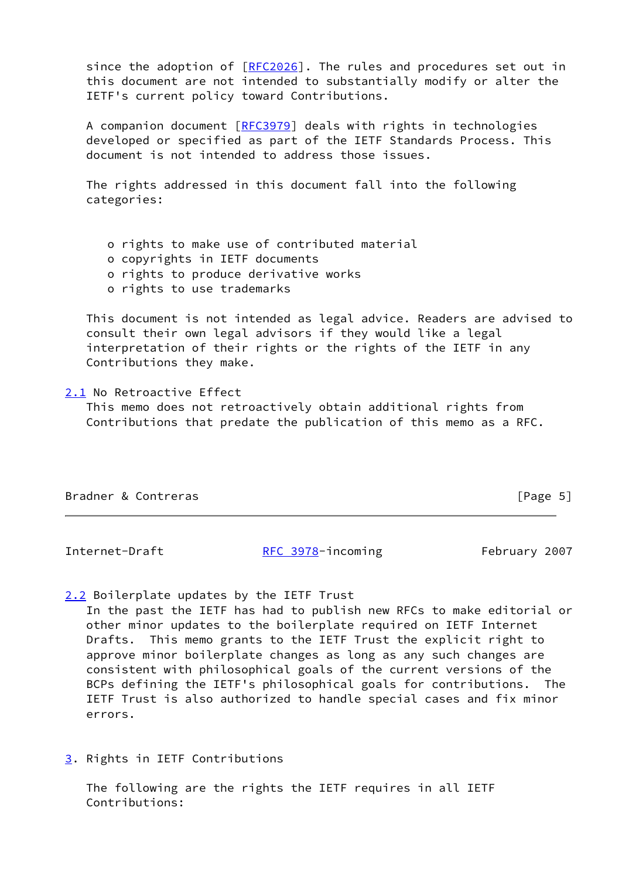since the adoption of [[RFC2026](https://datatracker.ietf.org/doc/pdf/rfc2026)]. The rules and procedures set out in this document are not intended to substantially modify or alter the IETF's current policy toward Contributions.

 A companion document [\[RFC3979](https://datatracker.ietf.org/doc/pdf/rfc3979)] deals with rights in technologies developed or specified as part of the IETF Standards Process. This document is not intended to address those issues.

 The rights addressed in this document fall into the following categories:

o rights to make use of contributed material

o copyrights in IETF documents

o rights to produce derivative works

o rights to use trademarks

 This document is not intended as legal advice. Readers are advised to consult their own legal advisors if they would like a legal interpretation of their rights or the rights of the IETF in any Contributions they make.

#### <span id="page-5-2"></span>[2.1](#page-5-2) No Retroactive Effect

 This memo does not retroactively obtain additional rights from Contributions that predate the publication of this memo as a RFC.

| Bradner & Contreras | [Page 5] |
|---------------------|----------|
|                     |          |

Internet-Draft [RFC 3978](https://datatracker.ietf.org/doc/pdf/rfc3978)-incoming February 2007

<span id="page-5-1"></span>[2.2](#page-5-1) Boilerplate updates by the IETF Trust

 In the past the IETF has had to publish new RFCs to make editorial or other minor updates to the boilerplate required on IETF Internet Drafts. This memo grants to the IETF Trust the explicit right to approve minor boilerplate changes as long as any such changes are consistent with philosophical goals of the current versions of the BCPs defining the IETF's philosophical goals for contributions. The IETF Trust is also authorized to handle special cases and fix minor errors.

<span id="page-5-0"></span>[3](#page-5-0). Rights in IETF Contributions

 The following are the rights the IETF requires in all IETF Contributions: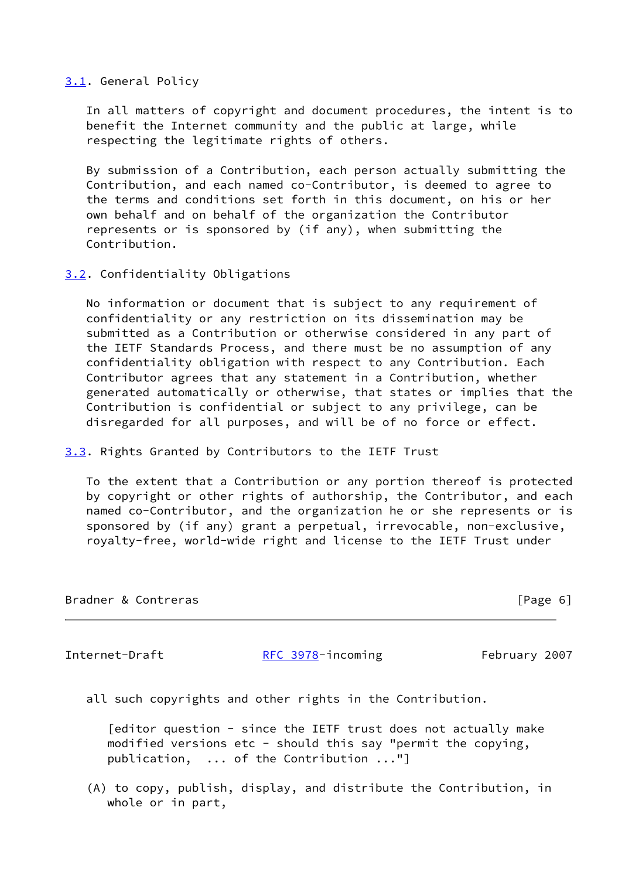## <span id="page-6-1"></span>[3.1](#page-6-1). General Policy

 In all matters of copyright and document procedures, the intent is to benefit the Internet community and the public at large, while respecting the legitimate rights of others.

 By submission of a Contribution, each person actually submitting the Contribution, and each named co-Contributor, is deemed to agree to the terms and conditions set forth in this document, on his or her own behalf and on behalf of the organization the Contributor represents or is sponsored by (if any), when submitting the Contribution.

## <span id="page-6-2"></span>[3.2](#page-6-2). Confidentiality Obligations

 No information or document that is subject to any requirement of confidentiality or any restriction on its dissemination may be submitted as a Contribution or otherwise considered in any part of the IETF Standards Process, and there must be no assumption of any confidentiality obligation with respect to any Contribution. Each Contributor agrees that any statement in a Contribution, whether generated automatically or otherwise, that states or implies that the Contribution is confidential or subject to any privilege, can be disregarded for all purposes, and will be of no force or effect.

## <span id="page-6-0"></span>[3.3](#page-6-0). Rights Granted by Contributors to the IETF Trust

 To the extent that a Contribution or any portion thereof is protected by copyright or other rights of authorship, the Contributor, and each named co-Contributor, and the organization he or she represents or is sponsored by (if any) grant a perpetual, irrevocable, non-exclusive, royalty-free, world-wide right and license to the IETF Trust under

| Bradner & Contreras | [Page 6] |
|---------------------|----------|
|                     |          |

Internet-Draft [RFC 3978](https://datatracker.ietf.org/doc/pdf/rfc3978)-incoming February 2007

all such copyrights and other rights in the Contribution.

 [editor question - since the IETF trust does not actually make modified versions etc - should this say "permit the copying, publication, ... of the Contribution ..."]

 (A) to copy, publish, display, and distribute the Contribution, in whole or in part,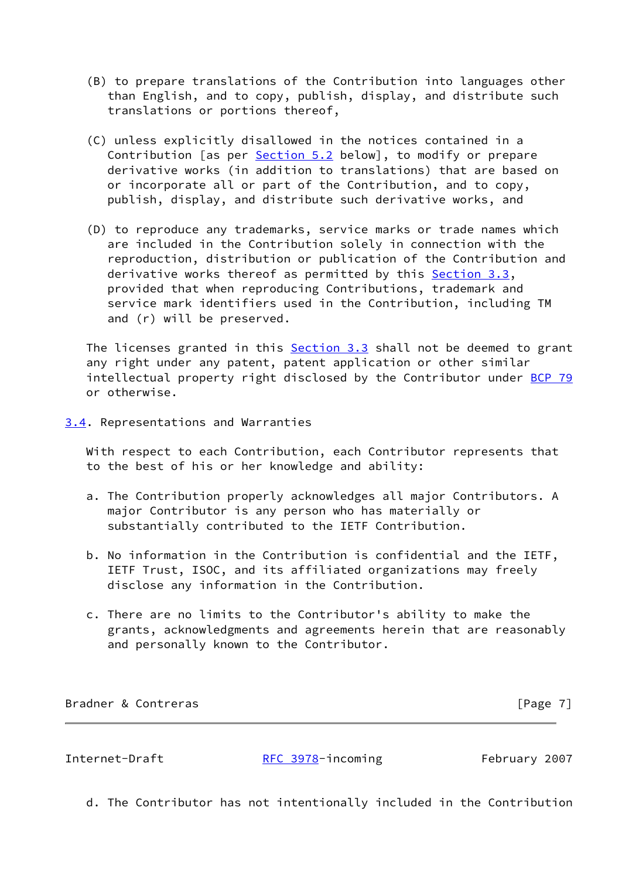- (B) to prepare translations of the Contribution into languages other than English, and to copy, publish, display, and distribute such translations or portions thereof,
- (C) unless explicitly disallowed in the notices contained in a Contribution [as per [Section 5.2](#page-10-0) below], to modify or prepare derivative works (in addition to translations) that are based on or incorporate all or part of the Contribution, and to copy, publish, display, and distribute such derivative works, and
- (D) to reproduce any trademarks, service marks or trade names which are included in the Contribution solely in connection with the reproduction, distribution or publication of the Contribution and derivative works thereof as permitted by this **Section 3.3**, provided that when reproducing Contributions, trademark and service mark identifiers used in the Contribution, including TM and (r) will be preserved.

 The licenses granted in this [Section 3.3](#page-6-0) shall not be deemed to grant any right under any patent, patent application or other similar intellectual property right disclosed by the Contributor under [BCP 79](https://datatracker.ietf.org/doc/pdf/bcp79) or otherwise.

<span id="page-7-0"></span>[3.4](#page-7-0). Representations and Warranties

 With respect to each Contribution, each Contributor represents that to the best of his or her knowledge and ability:

- a. The Contribution properly acknowledges all major Contributors. A major Contributor is any person who has materially or substantially contributed to the IETF Contribution.
- b. No information in the Contribution is confidential and the IETF, IETF Trust, ISOC, and its affiliated organizations may freely disclose any information in the Contribution.
- c. There are no limits to the Contributor's ability to make the grants, acknowledgments and agreements herein that are reasonably and personally known to the Contributor.

Bradner & Contreras [Page 7]

Internet-Draft **[RFC 3978](https://datatracker.ietf.org/doc/pdf/rfc3978)-incoming February 2007** 

d. The Contributor has not intentionally included in the Contribution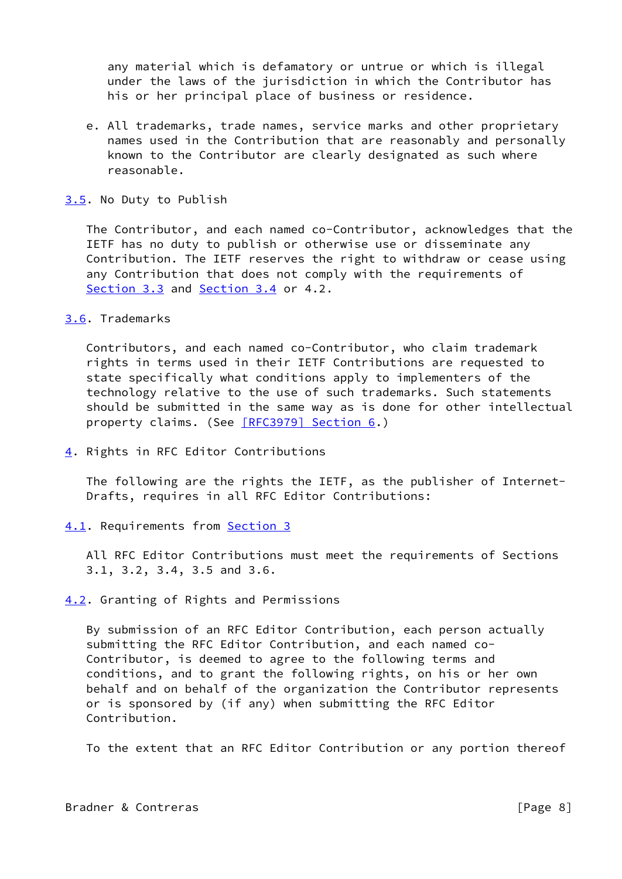any material which is defamatory or untrue or which is illegal under the laws of the jurisdiction in which the Contributor has his or her principal place of business or residence.

 e. All trademarks, trade names, service marks and other proprietary names used in the Contribution that are reasonably and personally known to the Contributor are clearly designated as such where reasonable.

#### <span id="page-8-1"></span>[3.5](#page-8-1). No Duty to Publish

 The Contributor, and each named co-Contributor, acknowledges that the IETF has no duty to publish or otherwise use or disseminate any Contribution. The IETF reserves the right to withdraw or cease using any Contribution that does not comply with the requirements of [Section 3.3](#page-6-0) and [Section 3.4](#page-7-0) or 4.2.

#### <span id="page-8-2"></span>[3.6](#page-8-2). Trademarks

 Contributors, and each named co-Contributor, who claim trademark rights in terms used in their IETF Contributions are requested to state specifically what conditions apply to implementers of the technology relative to the use of such trademarks. Such statements should be submitted in the same way as is done for other intellectual property claims. (See [\[RFC3979\] Section](https://datatracker.ietf.org/doc/pdf/rfc3979#section-6) 6.)

<span id="page-8-0"></span>[4](#page-8-0). Rights in RFC Editor Contributions

 The following are the rights the IETF, as the publisher of Internet- Drafts, requires in all RFC Editor Contributions:

# <span id="page-8-3"></span>[4.1](#page-8-3). Requirements from [Section 3](#page-5-0)

 All RFC Editor Contributions must meet the requirements of Sections 3.1, 3.2, 3.4, 3.5 and 3.6.

<span id="page-8-4"></span>[4.2](#page-8-4). Granting of Rights and Permissions

 By submission of an RFC Editor Contribution, each person actually submitting the RFC Editor Contribution, and each named co- Contributor, is deemed to agree to the following terms and conditions, and to grant the following rights, on his or her own behalf and on behalf of the organization the Contributor represents or is sponsored by (if any) when submitting the RFC Editor Contribution.

To the extent that an RFC Editor Contribution or any portion thereof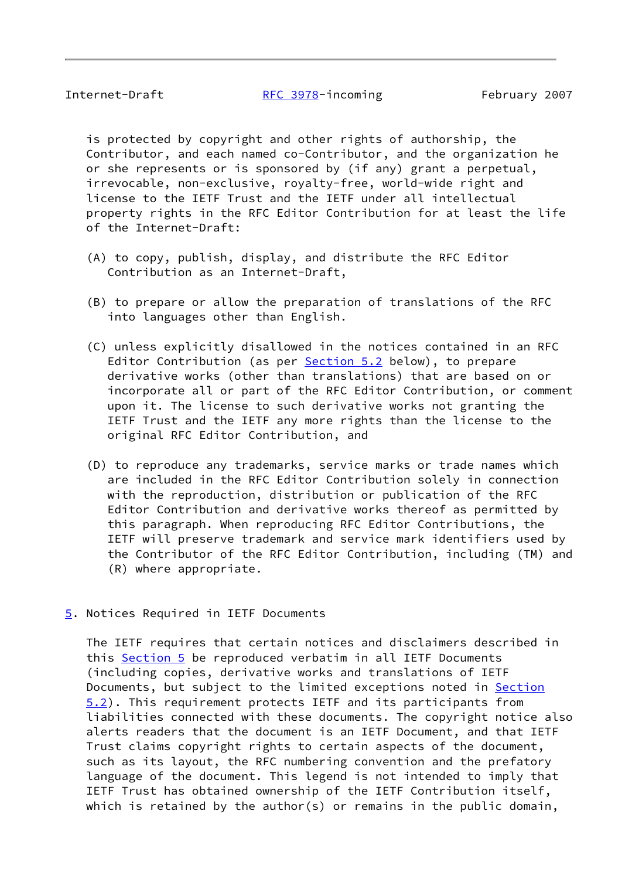is protected by copyright and other rights of authorship, the Contributor, and each named co-Contributor, and the organization he or she represents or is sponsored by (if any) grant a perpetual, irrevocable, non-exclusive, royalty-free, world-wide right and license to the IETF Trust and the IETF under all intellectual property rights in the RFC Editor Contribution for at least the life of the Internet-Draft:

- (A) to copy, publish, display, and distribute the RFC Editor Contribution as an Internet-Draft,
- (B) to prepare or allow the preparation of translations of the RFC into languages other than English.
- (C) unless explicitly disallowed in the notices contained in an RFC Editor Contribution (as per [Section 5.2](#page-10-0) below), to prepare derivative works (other than translations) that are based on or incorporate all or part of the RFC Editor Contribution, or comment upon it. The license to such derivative works not granting the IETF Trust and the IETF any more rights than the license to the original RFC Editor Contribution, and
- (D) to reproduce any trademarks, service marks or trade names which are included in the RFC Editor Contribution solely in connection with the reproduction, distribution or publication of the RFC Editor Contribution and derivative works thereof as permitted by this paragraph. When reproducing RFC Editor Contributions, the IETF will preserve trademark and service mark identifiers used by the Contributor of the RFC Editor Contribution, including (TM) and (R) where appropriate.
- <span id="page-9-0"></span>[5](#page-9-0). Notices Required in IETF Documents

 The IETF requires that certain notices and disclaimers described in this [Section 5](#page-9-0) be reproduced verbatim in all IETF Documents (including copies, derivative works and translations of IETF Documents, but subject to the limited exceptions noted in [Section](#page-10-0) [5.2](#page-10-0)). This requirement protects IETF and its participants from liabilities connected with these documents. The copyright notice also alerts readers that the document is an IETF Document, and that IETF Trust claims copyright rights to certain aspects of the document, such as its layout, the RFC numbering convention and the prefatory language of the document. This legend is not intended to imply that IETF Trust has obtained ownership of the IETF Contribution itself, which is retained by the author(s) or remains in the public domain,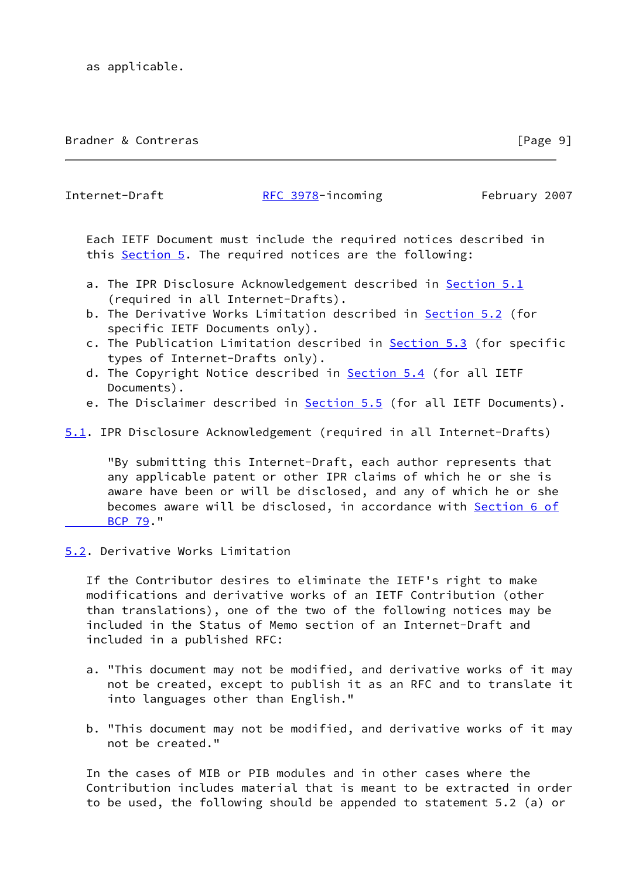## Bradner & Contreras **Executive Contreller** Security 2014 1997

Internet-Draft [RFC 3978](https://datatracker.ietf.org/doc/pdf/rfc3978)-incoming February 2007

 Each IETF Document must include the required notices described in this [Section 5](#page-9-0). The required notices are the following:

- a. The IPR Disclosure Acknowledgement described in [Section 5.1](#page-10-1) (required in all Internet-Drafts).
- b. The Derivative Works Limitation described in **Section 5.2** (for specific IETF Documents only).
- c. The Publication Limitation described in [Section 5.3](#page-11-0) (for specific types of Internet-Drafts only).
- d. The Copyright Notice described in [Section 5.4](#page-11-1) (for all IETF Documents).
- e. The Disclaimer described in [Section 5.5](#page-12-0) (for all IETF Documents).

## <span id="page-10-1"></span>[5.1](#page-10-1). IPR Disclosure Acknowledgement (required in all Internet-Drafts)

 "By submitting this Internet-Draft, each author represents that any applicable patent or other IPR claims of which he or she is aware have been or will be disclosed, and any of which he or she becomes aware will be disclosed, in accordance with [Section](https://datatracker.ietf.org/doc/pdf/bcp79#section-6) 6 of  [BCP 79](https://datatracker.ietf.org/doc/pdf/bcp79#section-6)."

## <span id="page-10-0"></span>[5.2](#page-10-0). Derivative Works Limitation

 If the Contributor desires to eliminate the IETF's right to make modifications and derivative works of an IETF Contribution (other than translations), one of the two of the following notices may be included in the Status of Memo section of an Internet-Draft and included in a published RFC:

- a. "This document may not be modified, and derivative works of it may not be created, except to publish it as an RFC and to translate it into languages other than English."
- b. "This document may not be modified, and derivative works of it may not be created."

 In the cases of MIB or PIB modules and in other cases where the Contribution includes material that is meant to be extracted in order to be used, the following should be appended to statement 5.2 (a) or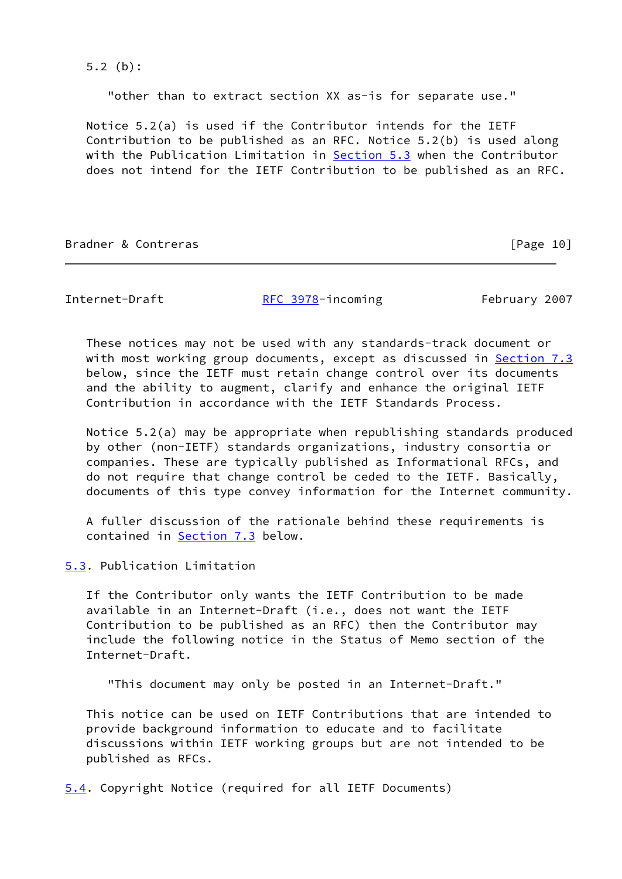5.2 (b):

"other than to extract section XX as-is for separate use."

 Notice 5.2(a) is used if the Contributor intends for the IETF Contribution to be published as an RFC. Notice 5.2(b) is used along with the Publication Limitation in [Section 5.3](#page-11-0) when the Contributor does not intend for the IETF Contribution to be published as an RFC.

Bradner & Contreras [Page 10]

Internet-Draft [RFC 3978](https://datatracker.ietf.org/doc/pdf/rfc3978)-incoming February 2007

 These notices may not be used with any standards-track document or with most working group documents, except as discussed in [Section 7.3](#page-15-0) below, since the IETF must retain change control over its documents and the ability to augment, clarify and enhance the original IETF Contribution in accordance with the IETF Standards Process.

 Notice 5.2(a) may be appropriate when republishing standards produced by other (non-IETF) standards organizations, industry consortia or companies. These are typically published as Informational RFCs, and do not require that change control be ceded to the IETF. Basically, documents of this type convey information for the Internet community.

 A fuller discussion of the rationale behind these requirements is contained in [Section 7.3](#page-15-0) below.

<span id="page-11-0"></span>[5.3](#page-11-0). Publication Limitation

 If the Contributor only wants the IETF Contribution to be made available in an Internet-Draft (i.e., does not want the IETF Contribution to be published as an RFC) then the Contributor may include the following notice in the Status of Memo section of the Internet-Draft.

"This document may only be posted in an Internet-Draft."

 This notice can be used on IETF Contributions that are intended to provide background information to educate and to facilitate discussions within IETF working groups but are not intended to be published as RFCs.

<span id="page-11-1"></span>[5.4](#page-11-1). Copyright Notice (required for all IETF Documents)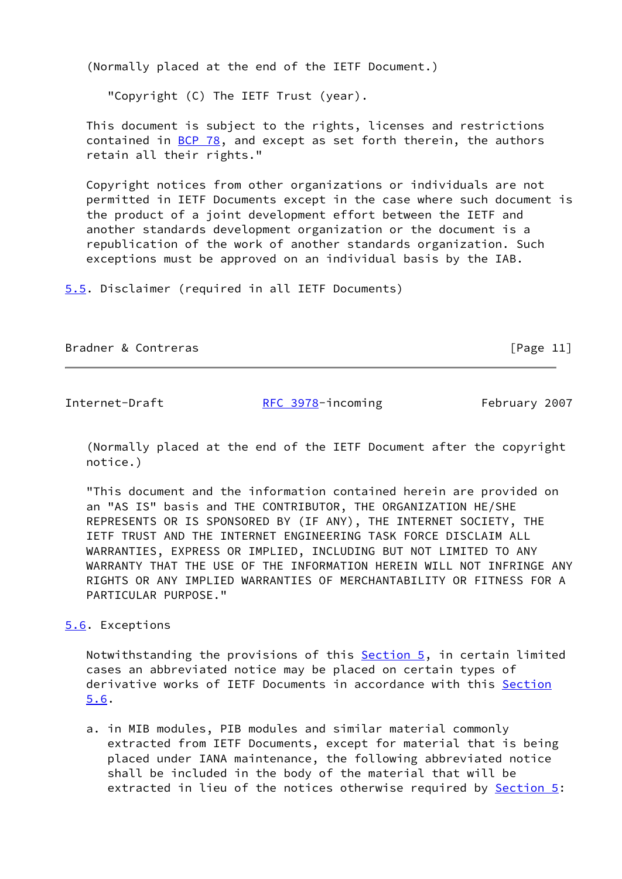(Normally placed at the end of the IETF Document.)

"Copyright (C) The IETF Trust (year).

 This document is subject to the rights, licenses and restrictions contained in  $BCP$  78, and except as set forth therein, the authors retain all their rights."

 Copyright notices from other organizations or individuals are not permitted in IETF Documents except in the case where such document is the product of a joint development effort between the IETF and another standards development organization or the document is a republication of the work of another standards organization. Such exceptions must be approved on an individual basis by the IAB.

<span id="page-12-0"></span>[5.5](#page-12-0). Disclaimer (required in all IETF Documents)

Bradner & Contreras [Page 11]

Internet-Draft [RFC 3978](https://datatracker.ietf.org/doc/pdf/rfc3978)-incoming February 2007

 (Normally placed at the end of the IETF Document after the copyright notice.)

 "This document and the information contained herein are provided on an "AS IS" basis and THE CONTRIBUTOR, THE ORGANIZATION HE/SHE REPRESENTS OR IS SPONSORED BY (IF ANY), THE INTERNET SOCIETY, THE IETF TRUST AND THE INTERNET ENGINEERING TASK FORCE DISCLAIM ALL WARRANTIES, EXPRESS OR IMPLIED, INCLUDING BUT NOT LIMITED TO ANY WARRANTY THAT THE USE OF THE INFORMATION HEREIN WILL NOT INFRINGE ANY RIGHTS OR ANY IMPLIED WARRANTIES OF MERCHANTABILITY OR FITNESS FOR A PARTICULAR PURPOSE."

## <span id="page-12-1"></span>[5.6](#page-12-1). Exceptions

Notwithstanding the provisions of this **Section 5**, in certain limited cases an abbreviated notice may be placed on certain types of derivative works of IETF Documents in accordance with this [Section](#page-12-1) [5.6](#page-12-1).

 a. in MIB modules, PIB modules and similar material commonly extracted from IETF Documents, except for material that is being placed under IANA maintenance, the following abbreviated notice shall be included in the body of the material that will be extracted in lieu of the notices otherwise required by [Section 5:](#page-9-0)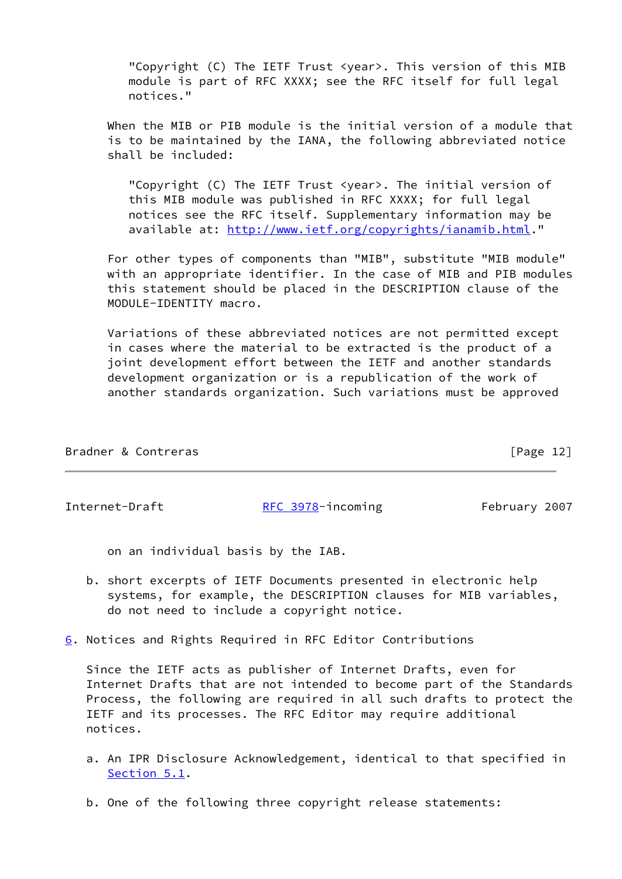"Copyright (C) The IETF Trust <year>. This version of this MIB module is part of RFC XXXX; see the RFC itself for full legal notices."

 When the MIB or PIB module is the initial version of a module that is to be maintained by the IANA, the following abbreviated notice shall be included:

 "Copyright (C) The IETF Trust <year>. The initial version of this MIB module was published in RFC XXXX; for full legal notices see the RFC itself. Supplementary information may be available at: [http://www.ietf.org/copyrights/ianamib.html.](http://www.ietf.org/copyrights/ianamib.html)"

 For other types of components than "MIB", substitute "MIB module" with an appropriate identifier. In the case of MIB and PIB modules this statement should be placed in the DESCRIPTION clause of the MODULE-IDENTITY macro.

 Variations of these abbreviated notices are not permitted except in cases where the material to be extracted is the product of a joint development effort between the IETF and another standards development organization or is a republication of the work of another standards organization. Such variations must be approved

| Bradner & Contreras | [Page 12] |
|---------------------|-----------|
|                     |           |

Internet-Draft [RFC 3978](https://datatracker.ietf.org/doc/pdf/rfc3978)-incoming February 2007

on an individual basis by the IAB.

- b. short excerpts of IETF Documents presented in electronic help systems, for example, the DESCRIPTION clauses for MIB variables, do not need to include a copyright notice.
- <span id="page-13-0"></span>[6](#page-13-0). Notices and Rights Required in RFC Editor Contributions

 Since the IETF acts as publisher of Internet Drafts, even for Internet Drafts that are not intended to become part of the Standards Process, the following are required in all such drafts to protect the IETF and its processes. The RFC Editor may require additional notices.

- a. An IPR Disclosure Acknowledgement, identical to that specified in [Section 5.1](#page-10-1).
- b. One of the following three copyright release statements: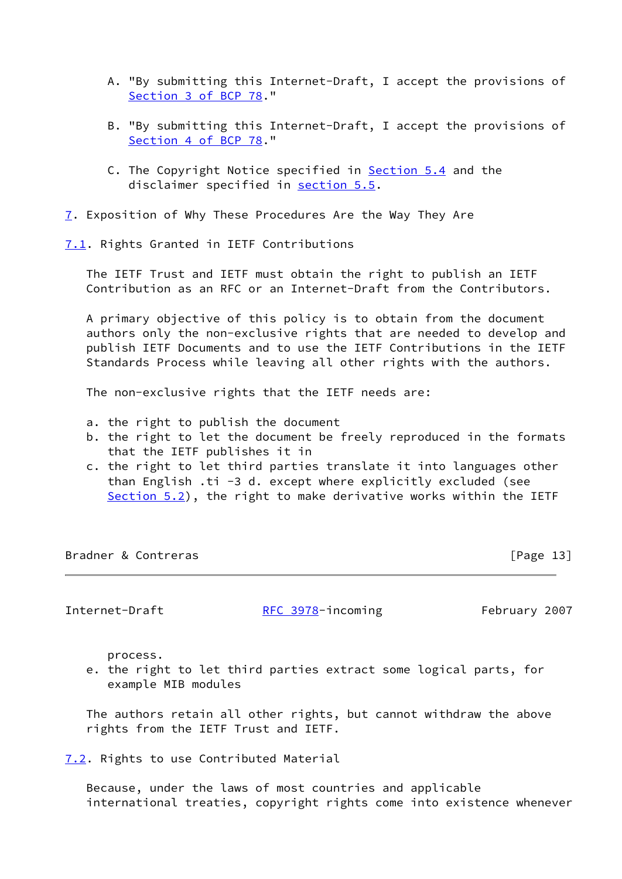- A. "By submitting this Internet-Draft, I accept the provisions of Section [3 of BCP 78](https://datatracker.ietf.org/doc/pdf/bcp78#section-3)."
- B. "By submitting this Internet-Draft, I accept the provisions of Section [4 of BCP 78](https://datatracker.ietf.org/doc/pdf/bcp78#section-4)."
- C. The Copyright Notice specified in [Section 5.4](#page-11-1) and the disclaimer specified in [section 5.5](#page-12-0).
- <span id="page-14-0"></span>[7](#page-14-0). Exposition of Why These Procedures Are the Way They Are

<span id="page-14-1"></span>[7.1](#page-14-1). Rights Granted in IETF Contributions

 The IETF Trust and IETF must obtain the right to publish an IETF Contribution as an RFC or an Internet-Draft from the Contributors.

 A primary objective of this policy is to obtain from the document authors only the non-exclusive rights that are needed to develop and publish IETF Documents and to use the IETF Contributions in the IETF Standards Process while leaving all other rights with the authors.

The non-exclusive rights that the IETF needs are:

- a. the right to publish the document
- b. the right to let the document be freely reproduced in the formats that the IETF publishes it in
- c. the right to let third parties translate it into languages other than English .ti -3 d. except where explicitly excluded (see [Section 5.2](#page-10-0)), the right to make derivative works within the IETF

Bradner & Contreras [Page 13]

Internet-Draft [RFC 3978](https://datatracker.ietf.org/doc/pdf/rfc3978)-incoming February 2007

process.

 e. the right to let third parties extract some logical parts, for example MIB modules

 The authors retain all other rights, but cannot withdraw the above rights from the IETF Trust and IETF.

<span id="page-14-2"></span>[7.2](#page-14-2). Rights to use Contributed Material

 Because, under the laws of most countries and applicable international treaties, copyright rights come into existence whenever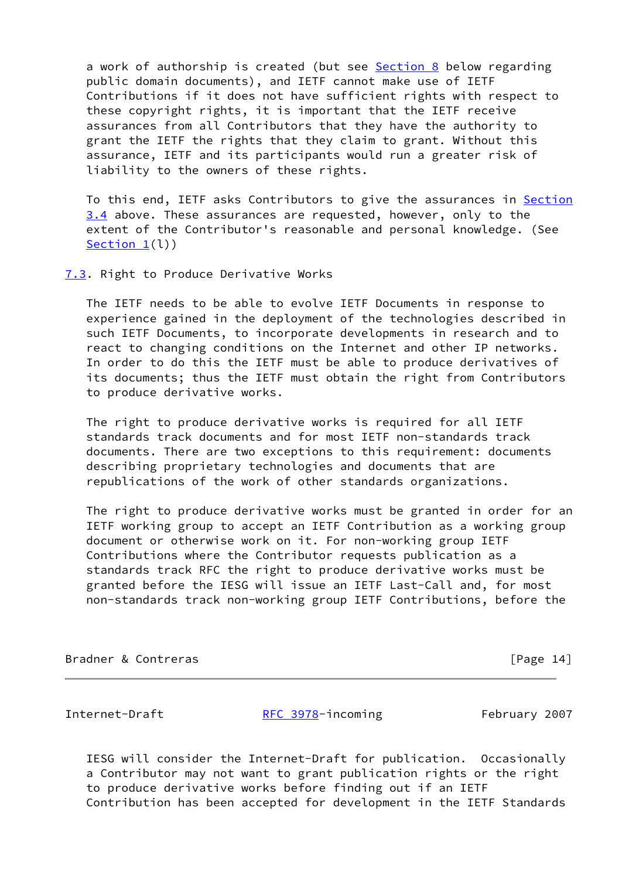a work of authorship is created (but see [Section 8](#page-17-0) below regarding public domain documents), and IETF cannot make use of IETF Contributions if it does not have sufficient rights with respect to these copyright rights, it is important that the IETF receive assurances from all Contributors that they have the authority to grant the IETF the rights that they claim to grant. Without this assurance, IETF and its participants would run a greater risk of liability to the owners of these rights.

To this end, IETF asks Contributors to give the assurances in [Section](#page-7-0) [3.4](#page-7-0) above. These assurances are requested, however, only to the extent of the Contributor's reasonable and personal knowledge. (See [Section 1](#page-1-0)(l))

#### <span id="page-15-0"></span>[7.3](#page-15-0). Right to Produce Derivative Works

 The IETF needs to be able to evolve IETF Documents in response to experience gained in the deployment of the technologies described in such IETF Documents, to incorporate developments in research and to react to changing conditions on the Internet and other IP networks. In order to do this the IETF must be able to produce derivatives of its documents; thus the IETF must obtain the right from Contributors to produce derivative works.

 The right to produce derivative works is required for all IETF standards track documents and for most IETF non-standards track documents. There are two exceptions to this requirement: documents describing proprietary technologies and documents that are republications of the work of other standards organizations.

 The right to produce derivative works must be granted in order for an IETF working group to accept an IETF Contribution as a working group document or otherwise work on it. For non-working group IETF Contributions where the Contributor requests publication as a standards track RFC the right to produce derivative works must be granted before the IESG will issue an IETF Last-Call and, for most non-standards track non-working group IETF Contributions, before the

Bradner & Contreras **Exercise Exercise Exercise Serverse Exercise Serverse EPage 14**]

Internet-Draft [RFC 3978](https://datatracker.ietf.org/doc/pdf/rfc3978)-incoming February 2007

 IESG will consider the Internet-Draft for publication. Occasionally a Contributor may not want to grant publication rights or the right to produce derivative works before finding out if an IETF Contribution has been accepted for development in the IETF Standards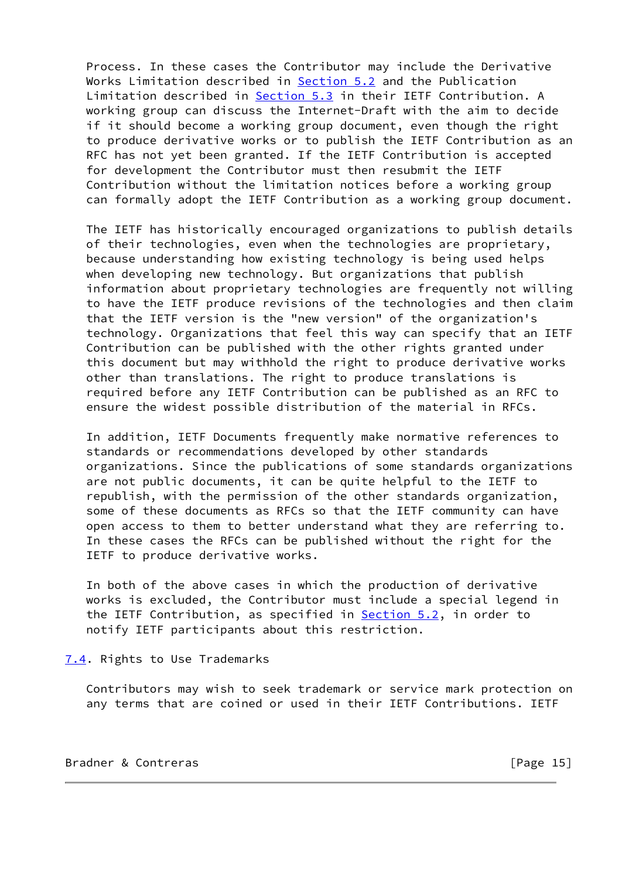Process. In these cases the Contributor may include the Derivative Works Limitation described in [Section 5.2](#page-10-0) and the Publication Limitation described in [Section 5.3](#page-11-0) in their IETF Contribution. A working group can discuss the Internet-Draft with the aim to decide if it should become a working group document, even though the right to produce derivative works or to publish the IETF Contribution as an RFC has not yet been granted. If the IETF Contribution is accepted for development the Contributor must then resubmit the IETF Contribution without the limitation notices before a working group can formally adopt the IETF Contribution as a working group document.

 The IETF has historically encouraged organizations to publish details of their technologies, even when the technologies are proprietary, because understanding how existing technology is being used helps when developing new technology. But organizations that publish information about proprietary technologies are frequently not willing to have the IETF produce revisions of the technologies and then claim that the IETF version is the "new version" of the organization's technology. Organizations that feel this way can specify that an IETF Contribution can be published with the other rights granted under this document but may withhold the right to produce derivative works other than translations. The right to produce translations is required before any IETF Contribution can be published as an RFC to ensure the widest possible distribution of the material in RFCs.

 In addition, IETF Documents frequently make normative references to standards or recommendations developed by other standards organizations. Since the publications of some standards organizations are not public documents, it can be quite helpful to the IETF to republish, with the permission of the other standards organization, some of these documents as RFCs so that the IETF community can have open access to them to better understand what they are referring to. In these cases the RFCs can be published without the right for the IETF to produce derivative works.

 In both of the above cases in which the production of derivative works is excluded, the Contributor must include a special legend in the IETF Contribution, as specified in **[Section 5.2](#page-10-0)**, in order to notify IETF participants about this restriction.

<span id="page-16-0"></span>[7.4](#page-16-0). Rights to Use Trademarks

 Contributors may wish to seek trademark or service mark protection on any terms that are coined or used in their IETF Contributions. IETF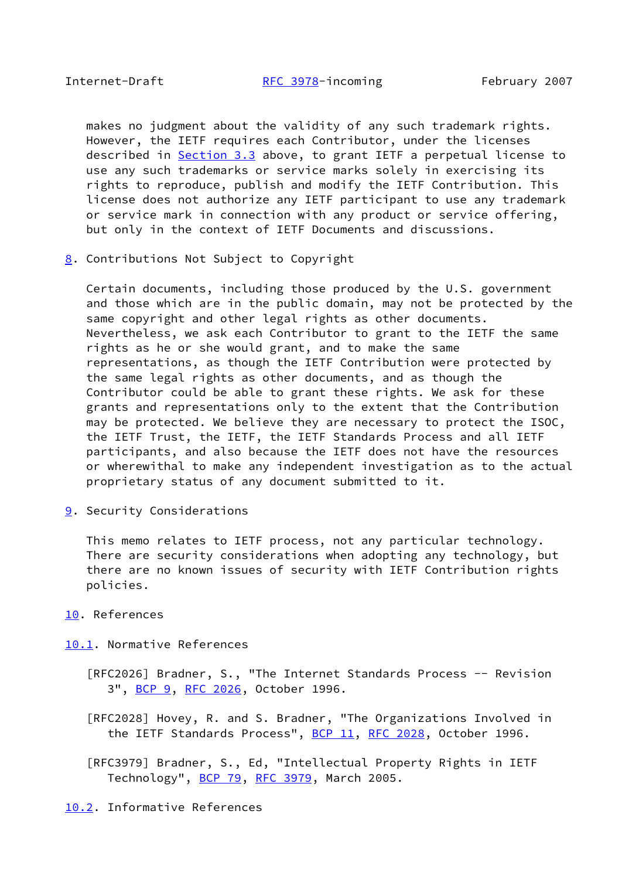makes no judgment about the validity of any such trademark rights. However, the IETF requires each Contributor, under the licenses described in [Section 3.3](#page-6-0) above, to grant IETF a perpetual license to use any such trademarks or service marks solely in exercising its rights to reproduce, publish and modify the IETF Contribution. This license does not authorize any IETF participant to use any trademark or service mark in connection with any product or service offering, but only in the context of IETF Documents and discussions.

<span id="page-17-0"></span>[8](#page-17-0). Contributions Not Subject to Copyright

 Certain documents, including those produced by the U.S. government and those which are in the public domain, may not be protected by the same copyright and other legal rights as other documents. Nevertheless, we ask each Contributor to grant to the IETF the same rights as he or she would grant, and to make the same representations, as though the IETF Contribution were protected by the same legal rights as other documents, and as though the Contributor could be able to grant these rights. We ask for these grants and representations only to the extent that the Contribution may be protected. We believe they are necessary to protect the ISOC, the IETF Trust, the IETF, the IETF Standards Process and all IETF participants, and also because the IETF does not have the resources or wherewithal to make any independent investigation as to the actual proprietary status of any document submitted to it.

<span id="page-17-2"></span>[9](#page-17-2). Security Considerations

 This memo relates to IETF process, not any particular technology. There are security considerations when adopting any technology, but there are no known issues of security with IETF Contribution rights policies.

### <span id="page-17-1"></span>[10.](#page-17-1) References

<span id="page-17-3"></span>[10.1](#page-17-3). Normative References

- [RFC2026] Bradner, S., "The Internet Standards Process -- Revision 3", [BCP 9,](https://datatracker.ietf.org/doc/pdf/bcp9) [RFC 2026](https://datatracker.ietf.org/doc/pdf/rfc2026), October 1996.
- [RFC2028] Hovey, R. and S. Bradner, "The Organizations Involved in the IETF Standards Process", [BCP 11](https://datatracker.ietf.org/doc/pdf/bcp11), [RFC 2028](https://datatracker.ietf.org/doc/pdf/rfc2028), October 1996.
- [RFC3979] Bradner, S., Ed, "Intellectual Property Rights in IETF Technology", [BCP 79](https://datatracker.ietf.org/doc/pdf/bcp79), [RFC 3979](https://datatracker.ietf.org/doc/pdf/rfc3979), March 2005.

<span id="page-17-4"></span>[10.2](#page-17-4). Informative References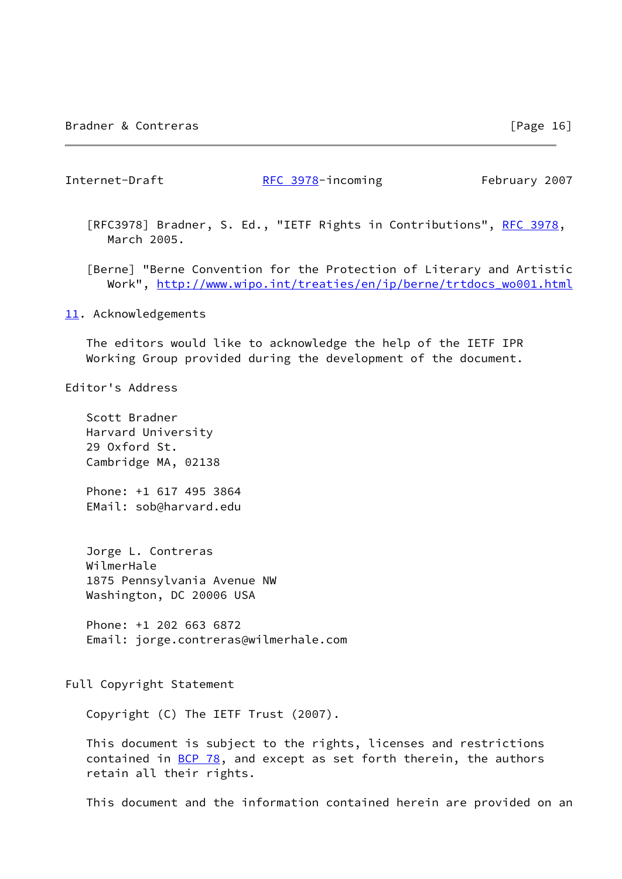Internet-Draft [RFC 3978](https://datatracker.ietf.org/doc/pdf/rfc3978)-incoming February 2007

[RFC3978] Bradner, S. Ed., "IETF Rights in Contributions", [RFC 3978,](https://datatracker.ietf.org/doc/pdf/rfc3978) March 2005.

<span id="page-18-0"></span> [Berne] "Berne Convention for the Protection of Literary and Artistic Work", [http://www.wipo.int/treaties/en/ip/berne/trtdocs\\_wo001.html](http://www.wipo.int/treaties/en/ip/berne/trtdocs_wo001.html)

<span id="page-18-1"></span>[11.](#page-18-1) Acknowledgements

 The editors would like to acknowledge the help of the IETF IPR Working Group provided during the development of the document.

Editor's Address

 Scott Bradner Harvard University 29 Oxford St. Cambridge MA, 02138

 Phone: +1 617 495 3864 EMail: sob@harvard.edu

 Jorge L. Contreras WilmerHale 1875 Pennsylvania Avenue NW Washington, DC 20006 USA

 Phone: +1 202 663 6872 Email: jorge.contreras@wilmerhale.com

Full Copyright Statement

Copyright (C) The IETF Trust (2007).

 This document is subject to the rights, licenses and restrictions contained in  $\underline{BCP}$  78, and except as set forth therein, the authors retain all their rights.

This document and the information contained herein are provided on an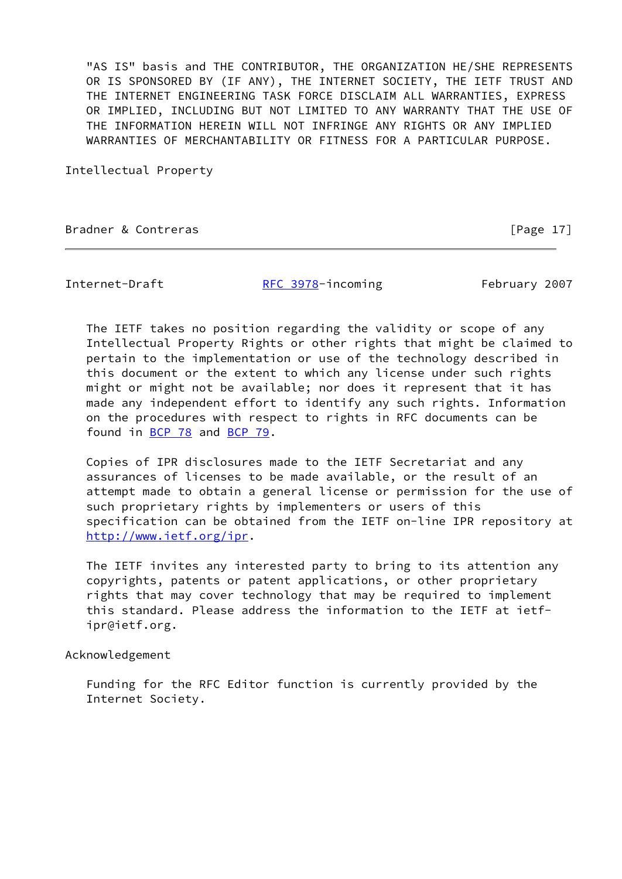"AS IS" basis and THE CONTRIBUTOR, THE ORGANIZATION HE/SHE REPRESENTS OR IS SPONSORED BY (IF ANY), THE INTERNET SOCIETY, THE IETF TRUST AND THE INTERNET ENGINEERING TASK FORCE DISCLAIM ALL WARRANTIES, EXPRESS OR IMPLIED, INCLUDING BUT NOT LIMITED TO ANY WARRANTY THAT THE USE OF THE INFORMATION HEREIN WILL NOT INFRINGE ANY RIGHTS OR ANY IMPLIED WARRANTIES OF MERCHANTABILITY OR FITNESS FOR A PARTICULAR PURPOSE.

Intellectual Property

Bradner & Contreras [Page 17]

Internet-Draft **[RFC 3978](https://datatracker.ietf.org/doc/pdf/rfc3978)-incoming** February 2007

 The IETF takes no position regarding the validity or scope of any Intellectual Property Rights or other rights that might be claimed to pertain to the implementation or use of the technology described in this document or the extent to which any license under such rights might or might not be available; nor does it represent that it has made any independent effort to identify any such rights. Information on the procedures with respect to rights in RFC documents can be found in [BCP 78](https://datatracker.ietf.org/doc/pdf/bcp78) and [BCP 79](https://datatracker.ietf.org/doc/pdf/bcp79).

 Copies of IPR disclosures made to the IETF Secretariat and any assurances of licenses to be made available, or the result of an attempt made to obtain a general license or permission for the use of such proprietary rights by implementers or users of this specification can be obtained from the IETF on-line IPR repository at <http://www.ietf.org/ipr>.

 The IETF invites any interested party to bring to its attention any copyrights, patents or patent applications, or other proprietary rights that may cover technology that may be required to implement this standard. Please address the information to the IETF at ietf ipr@ietf.org.

Acknowledgement

 Funding for the RFC Editor function is currently provided by the Internet Society.